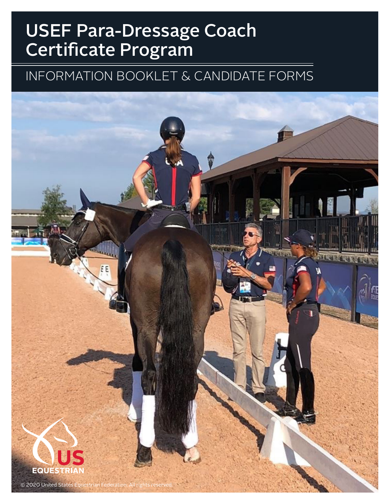# INFORMATION BOOKLET & CANDIDATE FORMS

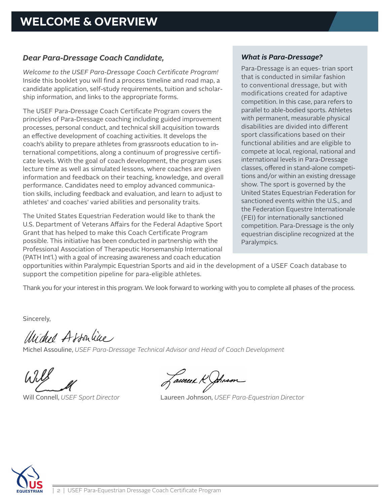### *Dear Para-Dressage Coach Candidate,*

*Welcome to the USEF Para-Dressage Coach Certificate Program!* Inside this booklet you will find a process timeline and road map, a candidate application, self-study requirements, tuition and scholarship information, and links to the appropriate forms.

The USEF Para-Dressage Coach Certificate Program covers the principles of Para-Dressage coaching including guided improvement processes, personal conduct, and technical skill acquisition towards an effective development of coaching activities. It develops the coach's ability to prepare athletes from grassroots education to international competitions, along a continuum of progressive certificate levels. With the goal of coach development, the program uses lecture time as well as simulated lessons, where coaches are given information and feedback on their teaching, knowledge, and overall performance. Candidates need to employ advanced communication skills, including feedback and evaluation, and learn to adjust to athletes' and coaches' varied abilities and personality traits.

The United States Equestrian Federation would like to thank the U.S. Department of Veterans Affairs for the Federal Adaptive Sport Grant that has helped to make this Coach Certificate Program possible. This initiative has been conducted in partnership with the Professional Association of Therapeutic Horsemanship International (PATH Int'l.) with a goal of increasing awareness and coach education

#### *What is Para-Dressage?*

Para-Dressage is an eques- trian sport that is conducted in similar fashion to conventional dressage, but with modifications created for adaptive competition. In this case, para refers to parallel to able-bodied sports. Athletes with permanent, measurable physical disabilities are divided into different sport classifications based on their functional abilities and are eligible to compete at local, regional, national and international levels in Para-Dressage classes, offered in stand-alone competitions and/or within an existing dressage show. The sport is governed by the United States Equestrian Federation for sanctioned events within the U.S., and the Federation Equestre Internationale (FEI) for internationally sanctioned competition. Para-Dressage is the only equestrian discipline recognized at the Paralympics.

opportunities within Paralympic Equestrian Sports and aid in the development of a USEF Coach database to support the competition pipeline for para-eligible athletes.

Thank you for your interest in this program. We look forward to working with you to complete all phases of the process.

Sincerely,

Unided Associac

Michel Assouline, *USEF Para-Dressage Technical Advisor and Head of Coach Development*

Jaunees Rahmson

Will Connell, *USEF Sport Director* Laureen Johnson, *USEF Para-Equestrian Director*

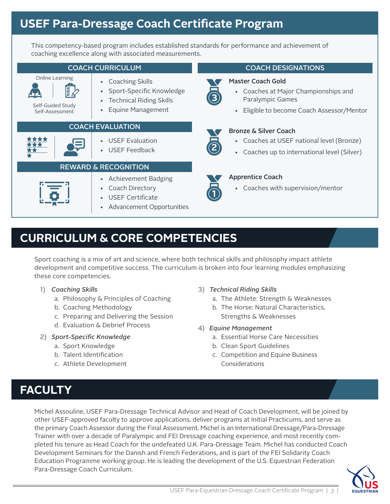This competency-based program includes established standards for performance and achievement of coaching excellence along with associated measurements.

#### COACH CURRICULUM Online Learning **•** Coaching Skills • Sport-Specific Knowledge • Technical Riding Skills • Equine Management Self-Guided Study Self-Assessment COACH EVALUATION • USEF Evaluation • USEF Feedback REWARD & RECOGNITION • Achievement Badging • Coach Directory • USEF Certificate • Advancement Opportunities COACH DESIGNATIONS **3** Master Coach Gold • Coaches at Major Championships and Paralympic Games • Eligible to become Coach Assessor/Mentor **23** Bronze & Silver Coach • Coaches at USEF national level (Bronze) • Coaches up to international level (Silver) Apprentice Coach • Coaches with supervision/mentor

# **CURRICULUM & CORE COMPETENCIES**

Sport coaching is a mix of art and science, where both technical skills and philosophy impact athlete development and competitive success. The curriculum is broken into four learning modules emphasizing these core competencies.

- 1) *Coaching Skills*
	- a. Philosophy & Principles of Coaching
	- b. Coaching Methodology
	- c. Preparing and Delivering the Session
	- d. Evaluation & Debrief Process
- 2) *Sport-Specific Knowledge*
	- a. Sport Knowledge
	- b. Talent Identification
	- c. Athlete Development
- 3) *Technical Riding Skills*
	- a. The Athlete: Strength & Weaknesses
	- b. The Horse: Natural Characteristics, Strengths & Weaknesses
- 4) *Equine Management*
	- a. Essential Horse Care Necessities
	- b. Clean Sport Guidelines
	- c. Competition and Equine Business **Considerations**

# **FACULTY**

Michel Assouline, USEF Para-Dressage Technical Advisor and Head of Coach Development, will be joined by other USEF-approved faculty to approve applications, deliver programs at Initial Practicums, and serve as the primary Coach Assessor during the Final Assessment. Michel is an International Dressage/Para-Dressage Trainer with over a decade of Paralympic and FEI Dressage coaching experience, and most recently completed his tenure as Head Coach for the undefeated U.K. Para-Dressage Team. Michel has conducted Coach Development Seminars for the Danish and French Federations, and is part of the FEI Solidarity Coach Education Programme working group. He is leading the development of the U.S. Equestrian Federation Para-Dressage Coach Curriculum.

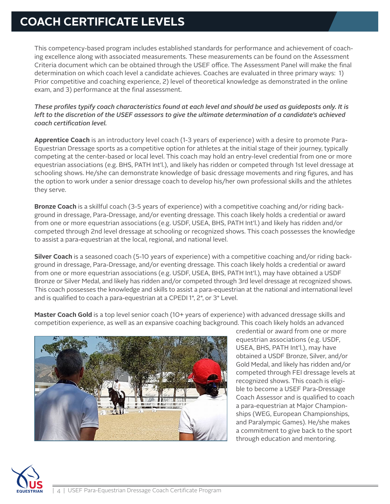# **COACH CERTIFICATE LEVELS**

This competency-based program includes established standards for performance and achievement of coaching excellence along with associated measurements. These measurements can be found on the Assessment Criteria document which can be obtained through the USEF office. The Assessment Panel will make the final determination on which coach level a candidate achieves. Coaches are evaluated in three primary ways: 1) Prior competitive and coaching experience, 2) level of theoretical knowledge as demonstrated in the online exam, and 3) performance at the final assessment.

*These profiles typify coach characteristics found at each level and should be used as guideposts only. It is left to the discretion of the USEF assessors to give the ultimate determination of a candidate's achieved coach certification level.* 

**Apprentice Coach** is an introductory level coach (1-3 years of experience) with a desire to promote Para-Equestrian Dressage sports as a competitive option for athletes at the initial stage of their journey, typically competing at the center-based or local level. This coach may hold an entry-level credential from one or more equestrian associations (e.g. BHS, PATH Int'l.), and likely has ridden or competed through 1st level dressage at schooling shows. He/she can demonstrate knowledge of basic dressage movements and ring figures, and has the option to work under a senior dressage coach to develop his/her own professional skills and the athletes they serve.

**Bronze Coach** is a skillful coach (3-5 years of experience) with a competitive coaching and/or riding background in dressage, Para-Dressage, and/or eventing dressage. This coach likely holds a credential or award from one or more equestrian associations (e.g. USDF, USEA, BHS, PATH Int'l.) and likely has ridden and/or competed through 2nd level dressage at schooling or recognized shows. This coach possesses the knowledge to assist a para-equestrian at the local, regional, and national level.

**Silver Coach** is a seasoned coach (5-10 years of experience) with a competitive coaching and/or riding background in dressage, Para-Dressage, and/or eventing dressage. This coach likely holds a credential or award from one or more equestrian associations (e.g. USDF, USEA, BHS, PATH Int'l.), may have obtained a USDF Bronze or Silver Medal, and likely has ridden and/or competed through 3rd level dressage at recognized shows. This coach possesses the knowledge and skills to assist a para-equestrian at the national and international level and is qualified to coach a para-equestrian at a CPEDI 1\*, 2\*, or 3\* Level.

**Master Coach Gold** is a top level senior coach (10+ years of experience) with advanced dressage skills and competition experience, as well as an expansive coaching background. This coach likely holds an advanced



credential or award from one or more equestrian associations (e.g. USDF, USEA, BHS, PATH Int'l.), may have obtained a USDF Bronze, Silver, and/or Gold Medal, and likely has ridden and/or competed through FEI dressage levels at recognized shows. This coach is eligible to become a USEF Para-Dressage Coach Assessor and is qualified to coach a para-equestrian at Major Championships (WEG, European Championships, and Paralympic Games). He/she makes a commitment to give back to the sport through education and mentoring.

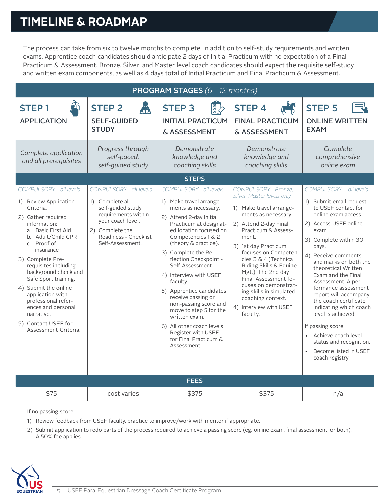# **TIMELINE & ROADMAP**

The process can take from six to twelve months to complete. In addition to self-study requirements and written exams, Apprentice coach candidates should anticipate 2 days of Initial Practicum with no expectation of a Final Practicum & Assessment. Bronze, Silver, and Master level coach candidates should expect the requisite self-study and written exam components, as well as 4 days total of Initial Practicum and Final Practicum & Assessment.

| <b>PROGRAM STAGES (6 - 12 months)</b>                                                                                                                                                                                                                                                                                                                                                                                         |                                                                                                                                                                             |                                                                                                                                                                                                                                                                                                                                                                                                                                                                                                                                   |                                                                                                                                                                                                                                                                                                                                                                                                                              |                                                                                                                                                                                                                                                                                                                                                                                                                                                                                                                                     |  |  |  |
|-------------------------------------------------------------------------------------------------------------------------------------------------------------------------------------------------------------------------------------------------------------------------------------------------------------------------------------------------------------------------------------------------------------------------------|-----------------------------------------------------------------------------------------------------------------------------------------------------------------------------|-----------------------------------------------------------------------------------------------------------------------------------------------------------------------------------------------------------------------------------------------------------------------------------------------------------------------------------------------------------------------------------------------------------------------------------------------------------------------------------------------------------------------------------|------------------------------------------------------------------------------------------------------------------------------------------------------------------------------------------------------------------------------------------------------------------------------------------------------------------------------------------------------------------------------------------------------------------------------|-------------------------------------------------------------------------------------------------------------------------------------------------------------------------------------------------------------------------------------------------------------------------------------------------------------------------------------------------------------------------------------------------------------------------------------------------------------------------------------------------------------------------------------|--|--|--|
| <b>STEP1</b><br><b>APPLICATION</b>                                                                                                                                                                                                                                                                                                                                                                                            | <b>STEP 2</b><br>Á.<br><b>SELF-GUIDED</b><br><b>STUDY</b>                                                                                                                   | <b>ER</b><br><b>STEP 3</b><br><b>INITIAL PRACTICUM</b><br>& ASSESSMENT                                                                                                                                                                                                                                                                                                                                                                                                                                                            | <b>STEP4</b><br><b>FINAL PRACTICUM</b><br>& ASSESSMENT                                                                                                                                                                                                                                                                                                                                                                       | <b>STEP 5</b><br><b>ONLINE WRITTEN</b><br><b>EXAM</b>                                                                                                                                                                                                                                                                                                                                                                                                                                                                               |  |  |  |
| Complete application<br>and all prerequisites                                                                                                                                                                                                                                                                                                                                                                                 | Progress through<br>self-paced,<br>self-quided study                                                                                                                        | Demonstrate<br>knowledge and<br>coaching skills                                                                                                                                                                                                                                                                                                                                                                                                                                                                                   | Demonstrate<br>knowledge and<br>coaching skills                                                                                                                                                                                                                                                                                                                                                                              | Complete<br>comprehensive<br>online exam                                                                                                                                                                                                                                                                                                                                                                                                                                                                                            |  |  |  |
| <b>STEPS</b>                                                                                                                                                                                                                                                                                                                                                                                                                  |                                                                                                                                                                             |                                                                                                                                                                                                                                                                                                                                                                                                                                                                                                                                   |                                                                                                                                                                                                                                                                                                                                                                                                                              |                                                                                                                                                                                                                                                                                                                                                                                                                                                                                                                                     |  |  |  |
| COMPULSORY - all levels<br>1) Review Application<br>Criteria.<br>2) Gather required<br>information:<br>a. Basic First Aid<br>b. Adult/Child CPR<br>c. Proof of<br>insurance<br>3) Complete Pre-<br>requisites including<br>background check and<br>Safe Sport training.<br>4) Submit the online<br>application with<br>professional refer-<br>ences and personal<br>narrative.<br>5) Contact USEF for<br>Assessment Criteria. | COMPULSORY - all levels<br>1) Complete all<br>self-guided study<br>requirements within<br>your coach level.<br>2) Complete the<br>Readiness - Checklist<br>Self-Assessment. | COMPULSORY - all levels<br>1) Make travel arrange-<br>ments as necessary.<br>2) Attend 2-day Initial<br>Practicum at designat-<br>ed location focused on<br>Competencies 1 & 2<br>(theory & practice).<br>3) Complete the Re-<br>flection Checkpoint -<br>Self-Assessment.<br>4) Interview with USEF<br>faculty.<br>5) Apprentice candidates<br>receive passing or<br>non-passing score and<br>move to step 5 for the<br>written exam.<br>6) All other coach levels<br>Register with USEF<br>for Final Practicum &<br>Assessment. | COMPULSORY - Bronze.<br>Silver, Master levels only<br>1) Make travel arrange-<br>ments as necessary.<br>2) Attend 2-day Final<br>Practicum & Assess-<br>ment.<br>3) 1st day Practicum<br>focuses on Competen-<br>cies 3 & 4 (Technical<br>Riding Skills & Equine<br>Mgt.). The 2nd day<br>Final Assessment fo-<br>cuses on demonstrat-<br>ing skills in simulated<br>coaching context.<br>4) Interview with USEF<br>faculty. | COMPULSORY - all levels<br>1) Submit email request<br>to USEF contact for<br>online exam access.<br>2) Access USEF online<br>exam.<br>3) Complete within 30<br>days.<br>4) Receive comments<br>and marks on both the<br>theoretical Written<br>Exam and the Final<br>Assessment. A per-<br>formance assessment<br>report will accompany<br>the coach certificate<br>indicating which coach<br>level is achieved.<br>If passing score:<br>Achieve coach level<br>status and recognition.<br>Become listed in USEF<br>coach registry. |  |  |  |
| <b>FEES</b>                                                                                                                                                                                                                                                                                                                                                                                                                   |                                                                                                                                                                             |                                                                                                                                                                                                                                                                                                                                                                                                                                                                                                                                   |                                                                                                                                                                                                                                                                                                                                                                                                                              |                                                                                                                                                                                                                                                                                                                                                                                                                                                                                                                                     |  |  |  |
| \$75                                                                                                                                                                                                                                                                                                                                                                                                                          | cost varies                                                                                                                                                                 | \$375                                                                                                                                                                                                                                                                                                                                                                                                                                                                                                                             | \$375                                                                                                                                                                                                                                                                                                                                                                                                                        | n/a                                                                                                                                                                                                                                                                                                                                                                                                                                                                                                                                 |  |  |  |

If no passing score:

1) Review feedback from USEF faculty, practice to improve/work with mentor if appropriate.

2) Submit application to redo parts of the process required to achieve a passing score (eg. online exam, final assessment, or both). A 50% fee applies.

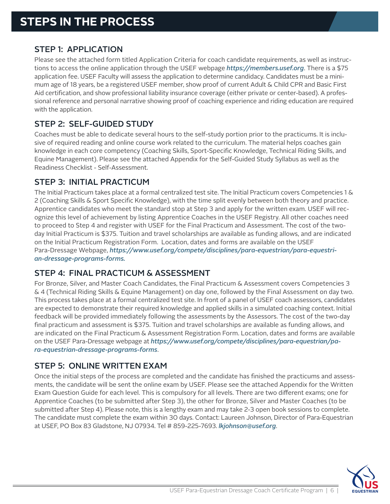# STEP 1: APPLICATION

Please see the attached form titled Application Criteria for coach candidate requirements, as well as instructions to access the online application through the USEF webpage *https://members.usef.org*. There is a \$75 application fee. USEF Faculty will assess the application to determine candidacy. Candidates must be a minimum age of 18 years, be a registered USEF member, show proof of current Adult & Child CPR and Basic First Aid certification, and show professional liability insurance coverage (either private or center-based). A professional reference and personal narrative showing proof of coaching experience and riding education are required with the application.

# STEP 2: SELF-GUIDED STUDY

Coaches must be able to dedicate several hours to the self-study portion prior to the practicums. It is inclusive of required reading and online course work related to the curriculum. The material helps coaches gain knowledge in each core competency (Coaching Skills, Sport-Specific Knowledge, Technical Riding Skills, and Equine Management). Please see the attached Appendix for the Self-Guided Study Syllabus as well as the Readiness Checklist - Self-Assessment.

# STEP 3: INITIAL PRACTICUM

The Initial Practicum takes place at a formal centralized test site. The Initial Practicum covers Competencies 1 & 2 (Coaching Skills & Sport Specific Knowledge), with the time split evenly between both theory and practice. Apprentice candidates who meet the standard stop at Step 3 and apply for the written exam. USEF will recognize this level of achievement by listing Apprentice Coaches in the USEF Registry. All other coaches need to proceed to Step 4 and register with USEF for the Final Practicum and Assessment. The cost of the twoday Initial Practicum is \$375. Tuition and travel scholarships are available as funding allows, and are indicated on the Initial Practicum Registration Form. Location, dates and forms are available on the USEF Para-Dressage Webpage, *https://www.usef.org/compete/disciplines/para-equestrian/para-equestrian-dressage-programs-forms.*

# STEP 4: FINAL PRACTICUM & ASSESSMENT

For Bronze, Silver, and Master Coach Candidates, the Final Practicum & Assessment covers Competencies 3 & 4 (Technical Riding Skills & Equine Management) on day one, followed by the Final Assessment on day two. This process takes place at a formal centralized test site. In front of a panel of USEF coach assessors, candidates are expected to demonstrate their required knowledge and applied skills in a simulated coaching context. Initial feedback will be provided immediately following the assessments by the Assessors. The cost of the two-day final practicum and assessment is \$375. Tuition and travel scholarships are available as funding allows, and are indicated on the Final Practicum & Assessment Registration Form. Location, dates and forms are available on the USEF Para-Dressage webpage at *https://www.usef.org/compete/disciplines/para-equestrian/para-equestrian-dressage-programs-forms*.

## STEP 5: ONLINE WRITTEN EXAM

Once the initial steps of the process are completed and the candidate has finished the practicums and assessments, the candidate will be sent the online exam by USEF. Please see the attached Appendix for the Written Exam Question Guide for each level. This is compulsory for all levels. There are two different exams; one for Apprentice Coaches (to be submitted after Step 3), the other for Bronze, Silver and Master Coaches (to be submitted after Step 4). Please note, this is a lengthy exam and may take 2-3 open book sessions to complete. The candidate must complete the exam within 30 days. Contact: Laureen Johnson, Director of Para-Equestrian at USEF, PO Box 83 Gladstone, NJ 07934. Tel # 859-225-7693. *lkjohnson@usef.org*.

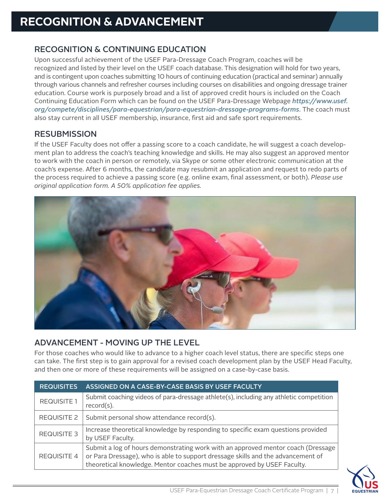# **RECOGNITION & ADVANCEMENT**

# RECOGNITION & CONTINUING EDUCATION

Upon successful achievement of the USEF Para-Dressage Coach Program, coaches will be recognized and listed by their level on the USEF coach database. This designation will hold for two years, and is contingent upon coaches submitting 10 hours of continuing education (practical and seminar) annually through various channels and refresher courses including courses on disabilities and ongoing dressage trainer education. Course work is purposely broad and a list of approved credit hours is included on the Coach Continuing Education Form which can be found on the USEF Para-Dressage Webpage *https://www.usef. org/compete/disciplines/para-equestrian/para-equestrian-dressage-programs-forms*. The coach must also stay current in all USEF membership, insurance, first aid and safe sport requirements.

# **RESUBMISSION**

If the USEF Faculty does not offer a passing score to a coach candidate, he will suggest a coach development plan to address the coach's teaching knowledge and skills. He may also suggest an approved mentor to work with the coach in person or remotely, via Skype or some other electronic communication at the coach's expense. After 6 months, the candidate may resubmit an application and request to redo parts of the process required to achieve a passing score (e.g. online exam, final assessment, or both). *Please use original application form. A 50% application fee applies.*



# ADVANCEMENT - MOVING UP THE LEVEL

For those coaches who would like to advance to a higher coach level status, there are specific steps one can take. The first step is to gain approval for a revised coach development plan by the USEF Head Faculty, and then one or more of these requirements will be assigned on a case-by-case basis.

| <b>REQUISITES</b>  | ASSIGNED ON A CASE-BY-CASE BASIS BY USEF FACULTY                                                                                                                                                                                                |
|--------------------|-------------------------------------------------------------------------------------------------------------------------------------------------------------------------------------------------------------------------------------------------|
| <b>REQUISITE 1</b> | Submit coaching videos of para-dressage athlete(s), including any athletic competition<br>$record(s)$ .                                                                                                                                         |
| <b>REQUISITE 2</b> | Submit personal show attendance record(s).                                                                                                                                                                                                      |
| <b>REQUISITE 3</b> | Increase theoretical knowledge by responding to specific exam questions provided<br>by USEF Faculty.                                                                                                                                            |
| <b>REQUISITE 4</b> | Submit a log of hours demonstrating work with an approved mentor coach (Dressage<br>or Para Dressage), who is able to support dressage skills and the advancement of<br>theoretical knowledge. Mentor coaches must be approved by USEF Faculty. |

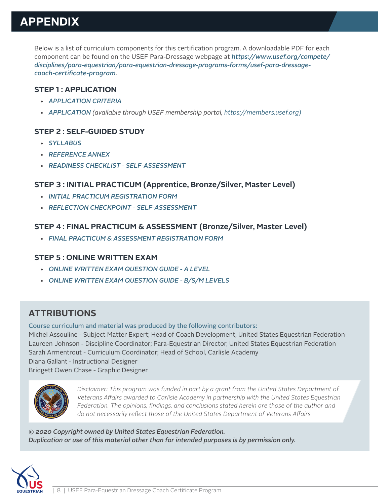# **APPENDIX**

Below is a list of curriculum components for this certification program. A downloadable PDF for each component can be found on the USEF Para-Dressage webpage at *https://www.usef.org/compete/ disciplines/para-equestrian/para-equestrian-dressage-programs-forms/usef-para-dressagecoach-certificate-program*.

#### **STEP 1 : APPLICATION**

- *APPLICATION CRITERIA*
- *APPLICATION (available through USEF membership portal, https://members.usef.org)*

## **STEP 2 : SELF-GUIDED STUDY**

- *SYLLABUS*
- *REFERENCE ANNEX*
- *READINESS CHECKLIST SELF-ASSESSMENT*

## **STEP 3 : INITIAL PRACTICUM (Apprentice, Bronze/Silver, Master Level)**

- *INITIAL PRACTICUM REGISTRATION FORM*
- *REFLECTION CHECKPOINT SELF-ASSESSMENT*

## **STEP 4 : FINAL PRACTICUM & ASSESSMENT (Bronze/Silver, Master Level)**

• *FINAL PRACTICUM & ASSESSMENT REGISTRATION FORM*

#### **STEP 5 : ONLINE WRITTEN EXAM**

- *ONLINE WRITTEN EXAM QUESTION GUIDE A LEVEL*
- *ONLINE WRITTEN EXAM QUESTION GUIDE B/S/M LEVELS*

# **ATTRIBUTIONS**

Course curriculum and material was produced by the following contributors: Michel Assouline - Subject Matter Expert; Head of Coach Development, United States Equestrian Federation Laureen Johnson - Discipline Coordinator; Para-Equestrian Director, United States Equestrian Federation Sarah Armentrout - Curriculum Coordinator; Head of School, Carlisle Academy Diana Gallant - Instructional Designer Bridgett Owen Chase - Graphic Designer



*Disclaimer: This program was funded in part by a grant from the United States Department of Veterans Affairs awarded to Carlisle Academy in partnership with the United States Equestrian Federation. The opinions, findings, and conclusions stated herein are those of the author and do not necessarily reflect those of the United States Department of Veterans Affairs*

*© 2020 Copyright owned by United States Equestrian Federation. Duplication or use of this material other than for intended purposes is by permission only.*

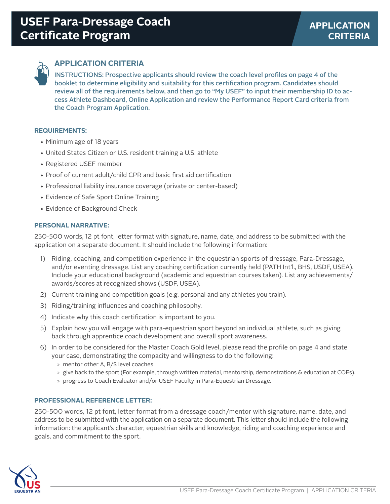

# **APPLICATION CRITERIA**

INSTRUCTIONS: Prospective applicants should review the coach level profiles on page 4 of the booklet to determine eligibility and suitability for this certification program. Candidates should review all of the requirements below, and then go to "My USEF" to input their membership ID to access Athlete Dashboard, Online Application and review the Performance Report Card criteria from the Coach Program Application.

#### **REQUIREMENTS:**

- Minimum age of 18 years
- United States Citizen or U.S. resident training a U.S. athlete
- Registered USEF member
- Proof of current adult/child CPR and basic first aid certification
- Professional liability insurance coverage (private or center-based)
- Evidence of Safe Sport Online Training
- Evidence of Background Check

#### **PERSONAL NARRATIVE:**

250-500 words, 12 pt font, letter format with signature, name, date, and address to be submitted with the application on a separate document. It should include the following information:

- 1) Riding, coaching, and competition experience in the equestrian sports of dressage, Para-Dressage, and/or eventing dressage. List any coaching certification currently held (PATH Int'l., BHS, USDF, USEA). Include your educational background (academic and equestrian courses taken). List any achievements/ awards/scores at recognized shows (USDF, USEA).
- 2) Current training and competition goals (e.g. personal and any athletes you train).
- 3) Riding/training influences and coaching philosophy.
- 4) Indicate why this coach certification is important to you.
- 5) Explain how you will engage with para-equestrian sport beyond an individual athlete, such as giving back through apprentice coach development and overall sport awareness.
- 6) In order to be considered for the Master Coach Gold level, please read the profile on page 4 and state your case, demonstrating the compacity and willingness to do the following:
	- » mentor other A, B/S level coaches
	- » give back to the sport (For example, through written material, mentorship, demonstrations & education at COEs).
	- » progress to Coach Evaluator and/or USEF Faculty in Para-Equestrian Dressage.

#### **PROFESSIONAL REFERENCE LETTER:**

250-500 words, 12 pt font, letter format from a dressage coach/mentor with signature, name, date, and address to be submitted with the application on a separate document. This letter should include the following information: the applicant's character, equestrian skills and knowledge, riding and coaching experience and goals, and commitment to the sport.

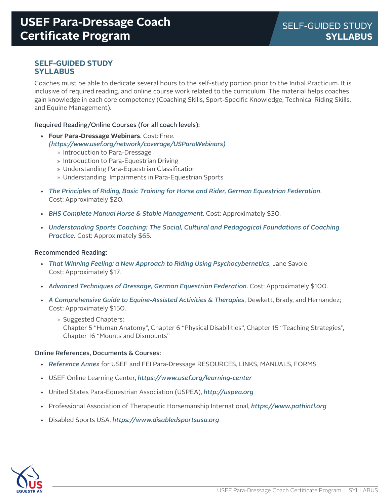#### **SELF-GUIDED STUDY SYLLABUS**

Coaches must be able to dedicate several hours to the self-study portion prior to the Initial Practicum. It is inclusive of required reading, and online course work related to the curriculum. The material helps coaches gain knowledge in each core competency (Coaching Skills, Sport-Specific Knowledge, Technical Riding Skills, and Equine Management).

#### Required Reading/Online Courses (for all coach levels):

- **• Four Para-Dressage Webinars**. Cost: Free. *(https://www.usef.org/network/coverage/USParaWebinars)*
	- » Introduction to Para-Dressage
	- » Introduction to Para-Equestrian Driving
	- » Understanding Para-Equestrian Classification
	- » Understanding Impairments in Para-Equestrian Sports
- *The Principles of Riding, Basic Training for Horse and Rider, German Equestrian Federation*. Cost: Approximately \$20.
- *BHS Complete Manual Horse & Stable Management*. Cost: Approximately \$30.
- *Understanding Sports Coaching: The Social, Cultural and Pedagogical Foundations of Coaching Practice***.** Cost: Approximately \$65.

#### Recommended Reading:

- *That Winning Feeling: a New Approach to Riding Using Psychocybernetics*, Jane Savoie. Cost: Approximately \$17.
- *Advanced Techniques of Dressage, German Equestrian Federation*. Cost: Approximately \$100.
- *A Comprehensive Guide to Equine-Assisted Activities & Therapies*, Dewkett, Brady, and Hernandez; Cost: Approximately \$150.
	- » Suggested Chapters: Chapter 5 "Human Anatomy", Chapter 6 "Physical Disabilities", Chapter 15 "Teaching Strategies", Chapter 16 "Mounts and Dismounts"

#### Online References, Documents & Courses:

- *Reference Annex* for USEF and FEI Para-Dressage RESOURCES, LINKS, MANUALS, FORMS
- USEF Online Learning Center, *https://www.usef.org/learning-center*
- United States Para-Equestrian Association (USPEA), *http://uspea.org*
- Professional Association of Therapeutic Horsemanship International, *https://www.pathintl.org*
- Disabled Sports USA, *https://www.disabledsportsusa.org*

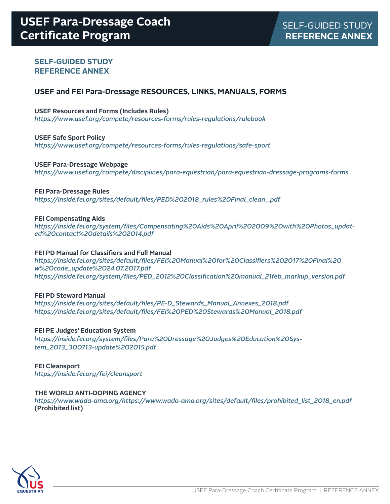### **SELF-GUIDED STUDY REFERENCE ANNEX**

#### **USEF and FEI Para-Dressage RESOURCES, LINKS, MANUALS, FORMS**

#### **USEF Resources and Forms (Includes Rules)**

*https://www.usef.org/compete/resources-forms/rules-regulations/rulebook* 

#### **USEF Safe Sport Policy**

*https://www.usef.org/compete/resources-forms/rules-regulations/safe-sport* 

#### **USEF Para-Dressage Webpage**

*https://www.usef.org/compete/disciplines/para-equestrian/para-equestrian-dressage-programs-forms* 

#### **FEI Para-Dressage Rules**

*https://inside.fei.org/sites/default/files/PED%202018\_rules%20Final\_clean\_.pdf*

#### **FEI Compensating Aids**

*https://inside.fei.org/system/files/Compensating%20Aids%20April%202009%20with%20Photos\_updated%20contact%20details%202014.pdf* 

#### **FEI PD Manual for Classifiers and Full Manual**

*https://inside.fei.org/sites/default/files/FEI%20Manual%20for%20Classifiers%202017%20Final%20 w%20code\_update%2024.07.2017.pdf https://inside.fei.org/system/files/PED\_2012%20Classification%20manual\_21feb\_markup\_version.pdf*

#### **FEI PD Steward Manual**

*https://inside.fei.org/sites/default/files/PE-D\_Stewards\_Manual\_Annexes\_2018.pdf https://inside.fei.org/sites/default/files/FEI%20PED%20Stewards%20Manual\_2018.pdf*

#### **FEI PE Judges' Education System**

*https://inside.fei.org/system/files/Para%20Dressage%20Judges%20Education%20System\_2013\_300713-update%202015.pdf*

**FEI Cleansport** *https://inside.fei.org/fei/cleansport* 

#### **THE WORLD ANTI-DOPING AGENCY**

*https://www.wada-ama.org/https://www.wada-ama.org/sites/default/files/prohibited\_list\_2018\_en.pdf* **(Prohibited list)**

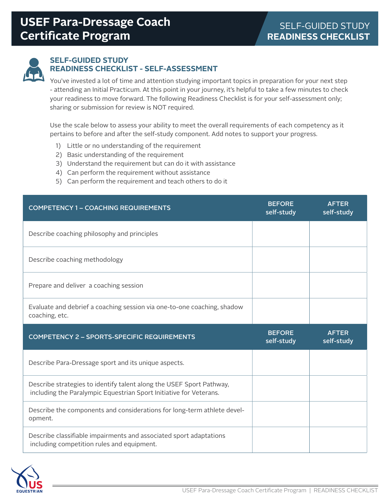

#### **SELF-GUIDED STUDY READINESS CHECKLIST - SELF-ASSESSMENT**

You've invested a lot of time and attention studying important topics in preparation for your next step - attending an Initial Practicum. At this point in your journey, it's helpful to take a few minutes to check your readiness to move forward. The following Readiness Checklist is for your self-assessment only; sharing or submission for review is NOT required.

Use the scale below to assess your ability to meet the overall requirements of each competency as it pertains to before and after the self-study component. Add notes to support your progress.

- 1) Little or no understanding of the requirement
- 2) Basic understanding of the requirement
- 3) Understand the requirement but can do it with assistance
- 4) Can perform the requirement without assistance
- 5) Can perform the requirement and teach others to do it

| <b>COMPETENCY 1 - COACHING REQUIREMENTS</b>                                                                                                | <b>BEFORE</b><br>self-study | <b>AFTER</b><br>self-study |
|--------------------------------------------------------------------------------------------------------------------------------------------|-----------------------------|----------------------------|
| Describe coaching philosophy and principles                                                                                                |                             |                            |
| Describe coaching methodology                                                                                                              |                             |                            |
| Prepare and deliver a coaching session                                                                                                     |                             |                            |
| Evaluate and debrief a coaching session via one-to-one coaching, shadow<br>coaching, etc.                                                  |                             |                            |
|                                                                                                                                            |                             |                            |
| <b>COMPETENCY 2 - SPORTS-SPECIFIC REQUIREMENTS</b>                                                                                         | <b>BEFORE</b><br>self-study | <b>AFTER</b><br>self-study |
| Describe Para-Dressage sport and its unique aspects.                                                                                       |                             |                            |
| Describe strategies to identify talent along the USEF Sport Pathway,<br>including the Paralympic Equestrian Sport Initiative for Veterans. |                             |                            |
| Describe the components and considerations for long-term athlete devel-<br>opment.                                                         |                             |                            |

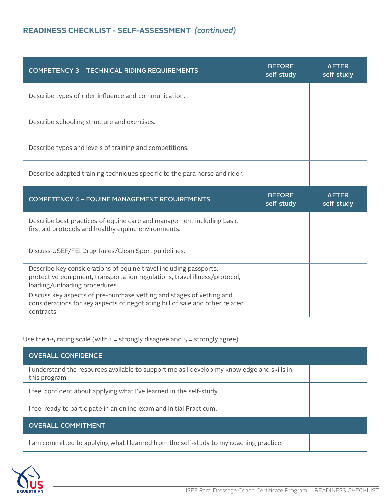# **READINESS CHECKLIST - SELF-ASSESSMENT** *(continued)*

| <b>COMPETENCY 3 - TECHNICAL RIDING REQUIREMENTS</b>                                                                                                                              | <b>BEFORE</b><br>self-study | <b>AFTER</b><br>self-study |
|----------------------------------------------------------------------------------------------------------------------------------------------------------------------------------|-----------------------------|----------------------------|
| Describe types of rider influence and communication.                                                                                                                             |                             |                            |
| Describe schooling structure and exercises.                                                                                                                                      |                             |                            |
| Describe types and levels of training and competitions.                                                                                                                          |                             |                            |
| Describe adapted training techniques specific to the para horse and rider.                                                                                                       |                             |                            |
|                                                                                                                                                                                  |                             |                            |
| <b>COMPETENCY 4 - EQUINE MANAGEMENT REQUIREMENTS</b>                                                                                                                             | <b>BEFORE</b><br>self-study | <b>AFTER</b><br>self-study |
| Describe best practices of equine care and management including basic<br>first aid protocols and healthy equine environments.                                                    |                             |                            |
| Discuss USEF/FEI Drug Rules/Clean Sport guidelines.                                                                                                                              |                             |                            |
| Describe key considerations of equine travel including passports,<br>protective equipment, transportation regulations, travel illness/protocol,<br>loading/unloading procedures. |                             |                            |

Use the 1-5 rating scale (with  $1 =$  strongly disagree and  $5 =$  strongly agree).

| <b>OVERALL CONFIDENCE</b>                                                                                   |  |  |
|-------------------------------------------------------------------------------------------------------------|--|--|
| I understand the resources available to support me as I develop my knowledge and skills in<br>this program. |  |  |
| I feel confident about applying what I've learned in the self-study.                                        |  |  |
| I feel ready to participate in an online exam and Initial Practicum.                                        |  |  |
| <b>OVERALL COMMITMENT</b>                                                                                   |  |  |
| am committed to applying what I learned from the self-study to my coaching practice.                        |  |  |

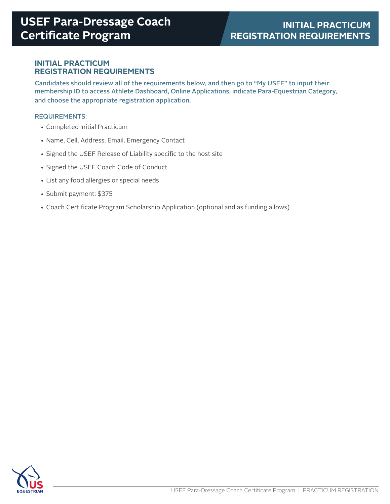#### **INITIAL PRACTICUM REGISTRATION REQUIREMENTS**

Candidates should review all of the requirements below, and then go to "My USEF" to input their membership ID to access Athlete Dashboard, Online Applications, indicate Para-Equestrian Category, and choose the appropriate registration application.

#### REQUIREMENTS:

- Completed Initial Practicum
- Name, Cell, Address, Email, Emergency Contact
- Signed the USEF Release of Liability specific to the host site
- Signed the USEF Coach Code of Conduct
- List any food allergies or special needs
- Submit payment: \$375
- Coach Certificate Program Scholarship Application (optional and as funding allows)

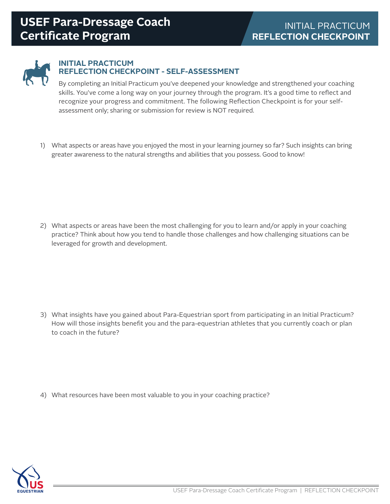

#### **INITIAL PRACTICUM REFLECTION CHECKPOINT - SELF-ASSESSMENT**

By completing an Initial Practicum you've deepened your knowledge and strengthened your coaching skills. You've come a long way on your journey through the program. It's a good time to reflect and recognize your progress and commitment. The following Reflection Checkpoint is for your selfassessment only; sharing or submission for review is NOT required.

1) What aspects or areas have you enjoyed the most in your learning journey so far? Such insights can bring greater awareness to the natural strengths and abilities that you possess. Good to know!

2) What aspects or areas have been the most challenging for you to learn and/or apply in your coaching practice? Think about how you tend to handle those challenges and how challenging situations can be leveraged for growth and development.

3) What insights have you gained about Para-Equestrian sport from participating in an Initial Practicum? How will those insights benefit you and the para-equestrian athletes that you currently coach or plan to coach in the future?

4) What resources have been most valuable to you in your coaching practice?

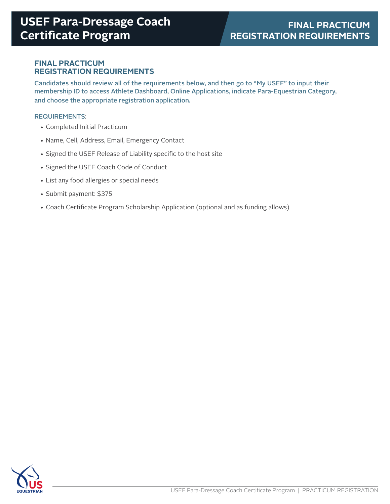#### **FINAL PRACTICUM REGISTRATION REQUIREMENTS**

Candidates should review all of the requirements below, and then go to "My USEF" to input their membership ID to access Athlete Dashboard, Online Applications, indicate Para-Equestrian Category, and choose the appropriate registration application.

#### REQUIREMENTS:

- Completed Initial Practicum
- Name, Cell, Address, Email, Emergency Contact
- Signed the USEF Release of Liability specific to the host site
- Signed the USEF Coach Code of Conduct
- List any food allergies or special needs
- Submit payment: \$375
- Coach Certificate Program Scholarship Application (optional and as funding allows)

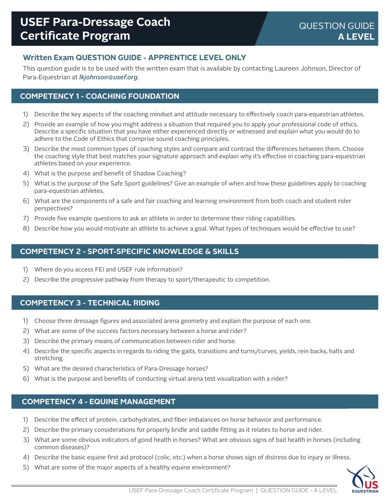# **Written Exam QUESTION GUIDE - APPRENTICE LEVEL ONLY**

This question guide is to be used with the written exam that is available by contacting Laureen Johnson, Director of Para-Equestrian at *lkjohnson@usef.org*.

# **COMPETENCY 1 - COACHING FOUNDATION**

- 1) Describe the key aspects of the coaching mindset and attitude necessary to effectively coach para-equestrian athletes.
- 2) Provide an example of how you might address a situation that required you to apply your professional code of ethics. Describe a specific situation that you have either experienced directly or witnessed and explain what you would do to adhere to the Code of Ethics that comprise sound coaching principles.
- 3) Describe the most common types of coaching styles and compare and contrast the differences between them. Choose the coaching style that best matches your signature approach and explain why it's effective in coaching para-equestrian athletes based on your experience.
- 4) What is the purpose and benefit of Shadow Coaching?
- 5) What is the purpose of the Safe Sport guidelines? Give an example of when and how these guidelines apply to coaching para-equestrian athletes.
- 6) What are the components of a safe and fair coaching and learning environment from both coach and student rider perspectives?
- 7) Provide five example questions to ask an athlete in order to determine their riding capabilities.
- 8) Describe how you would motivate an athlete to achieve a goal. What types of techniques would be effective to use?

### **COMPETENCY 2 - SPORT-SPECIFIC KNOWLEDGE & SKILLS**

- 1) Where do you access FEI and USEF rule information?
- 2) Describe the progressive pathway from therapy to sport/therapeutic to competition.

#### **COMPETENCY 3 - TECHNICAL RIDING**

- 1) Choose three dressage figures and associated arena geometry and explain the purpose of each one.
- 2) What are some of the success factors necessary between a horse and rider?
- 3) Describe the primary means of communication between rider and horse.
- 4) Describe the specific aspects in regards to riding the gaits, transitions and turns/curves, yields, rein backs, halts and stretching.
- 5) What are the desired characteristics of Para-Dressage horses?
- 6) What is the purpose and benefits of conducting virtual arena test visualization with a rider?

## **COMPETENCY 4 - EQUINE MANAGEMENT**

- 1) Describe the effect of protein, carbohydrates, and fiber imbalances on horse behavior and performance.
- 2) Describe the primary considerations for properly bridle and saddle fitting as it relates to horse and rider.
- 3) What are some obvious indicators of good health in horses? What are obvious signs of bad health in horses (including common diseases)?
- 4) Describe the basic equine first aid protocol (colic, etc.) when a horse shows sign of distress due to injury or illness.
- 5) What are some of the major aspects of a healthy equine environment?

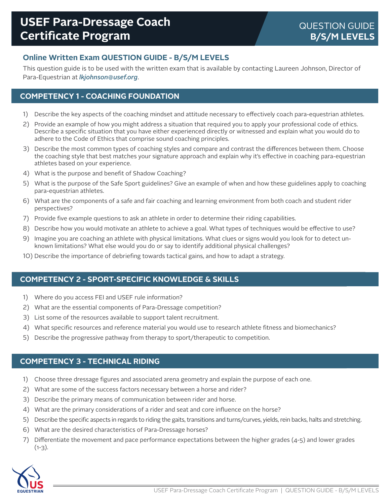# **Online Written Exam QUESTION GUIDE - B/S/M LEVELS**

This question guide is to be used with the written exam that is available by contacting Laureen Johnson, Director of Para-Equestrian at *lkjohnson@usef.org*.

# **COMPETENCY 1 - COACHING FOUNDATION**

- 1) Describe the key aspects of the coaching mindset and attitude necessary to effectively coach para-equestrian athletes.
- 2) Provide an example of how you might address a situation that required you to apply your professional code of ethics. Describe a specific situation that you have either experienced directly or witnessed and explain what you would do to adhere to the Code of Ethics that comprise sound coaching principles.
- 3) Describe the most common types of coaching styles and compare and contrast the differences between them. Choose the coaching style that best matches your signature approach and explain why it's effective in coaching para-equestrian athletes based on your experience.
- 4) What is the purpose and benefit of Shadow Coaching?
- 5) What is the purpose of the Safe Sport guidelines? Give an example of when and how these guidelines apply to coaching para-equestrian athletes.
- 6) What are the components of a safe and fair coaching and learning environment from both coach and student rider perspectives?
- 7) Provide five example questions to ask an athlete in order to determine their riding capabilities.
- 8) Describe how you would motivate an athlete to achieve a goal. What types of techniques would be effective to use?
- 9) Imagine you are coaching an athlete with physical limitations. What clues or signs would you look for to detect unknown limitations? What else would you do or say to identify additional physical challenges?
- 10) Describe the importance of debriefing towards tactical gains, and how to adapt a strategy.

## **COMPETENCY 2 - SPORT-SPECIFIC KNOWLEDGE & SKILLS**

- 1) Where do you access FEI and USEF rule information?
- 2) What are the essential components of Para-Dressage competition?
- 3) List some of the resources available to support talent recruitment.
- 4) What specific resources and reference material you would use to research athlete fitness and biomechanics?
- 5) Describe the progressive pathway from therapy to sport/therapeutic to competition.

#### **COMPETENCY 3 - TECHNICAL RIDING**

- 1) Choose three dressage figures and associated arena geometry and explain the purpose of each one.
- 2) What are some of the success factors necessary between a horse and rider?
- 3) Describe the primary means of communication between rider and horse.
- 4) What are the primary considerations of a rider and seat and core influence on the horse?
- 5) Describe the specific aspects in regards to riding the gaits, transitions and turns/curves, yields, rein backs, halts and stretching.
- 6) What are the desired characteristics of Para-Dressage horses?
- 7) Differentiate the movement and pace performance expectations between the higher grades  $(4-5)$  and lower grades  $(1-3)$ .